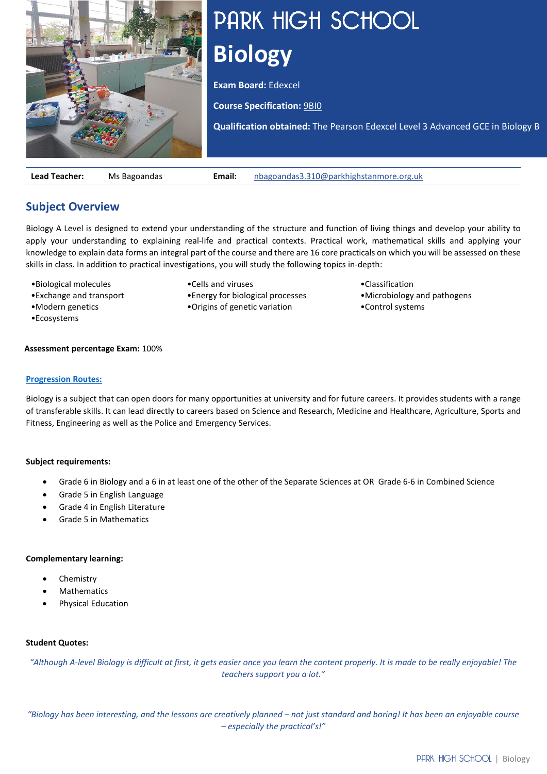

# PARK HIGH SCHOOL **Biology**

**Exam Board:** Edexcel

**Course Specification:** [9BI0](https://qualifications.pearson.com/content/dam/pdf/A%20Level/biology-b/2015/specification-and-sample-assessment-materials/9781446930892_GCE2015_A_BioB_spec.pdf)

**Qualification obtained:** The Pearson Edexcel Level 3 Advanced GCE in Biology B

•Classification

•Control systems

**Lead Teacher:** Ms Bagoandas **Email:** [nbagoandas3.310@parkhighstanmore.org.uk](mailto:nbagoandas3.310@parkhighstanmore.org.uk)

# **Subject Overview**

Biology A Level is designed to extend your understanding of the structure and function of living things and develop your ability to apply your understanding to explaining real-life and practical contexts. Practical work, mathematical skills and applying your knowledge to explain data forms an integral part of the course and there are 16 core practicals on which you will be assessed on these skills in class. In addition to practical investigations, you will study the following topics in-depth:

•Cells and viruses

•Energy for biological processes •Origins of genetic variation

- •Biological molecules
- •Exchange and transport
- •Modern genetics
- •Ecosystems

#### **Assessment percentage Exam:** 100%

#### **[Progression Routes:](https://www.parkhighstanmore.org.uk/careersandemploaybility/studentresources)**

Biology is a subject that can open doors for many opportunities at university and for future careers. It provides students with a range of transferable skills. It can lead directly to careers based on Science and Research, Medicine and Healthcare, Agriculture, Sports and Fitness, Engineering as well as the Police and Emergency Services.

## **Subject requirements:**

- Grade 6 in Biology and a 6 in at least one of the other of the Separate Sciences at OR Grade 6-6 in Combined Science
- Grade 5 in English Language
- Grade 4 in English Literature
- Grade 5 in Mathematics

#### **Complementary learning:**

- **Chemistry**
- **Mathematics**
- Physical Education

#### **Student Quotes:**

*"Although A-level Biology is difficult at first, it gets easier once you learn the content properly. It is made to be really enjoyable! The teachers support you a lot."*

*"Biology has been interesting, and the lessons are creatively planned – not just standard and boring! It has been an enjoyable course – especially the practical's!"*

•Microbiology and pathogens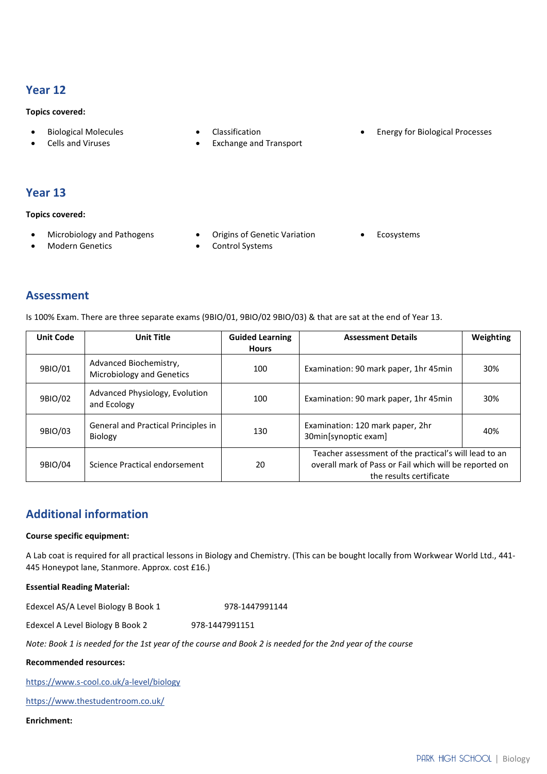## **Year 12**

#### **Topics covered:**

- Biological Molecules
- Cells and Viruses
- Classification
- Exchange and Transport
- Energy for Biological Processes

## **Year 13**

**Topics covered:**

- Microbiology and Pathogens
- Modern Genetics
- Origins of Genetic Variation
- Control Systems

**Ecosystems** 

## **Assessment**

Is 100% Exam. There are three separate exams (9BIO/01, 9BIO/02 9BIO/03) & that are sat at the end of Year 13.

| <b>Unit Code</b> | <b>Unit Title</b>                                   | <b>Guided Learning</b><br><b>Hours</b> | <b>Assessment Details</b>                                                                                                                  | Weighting |
|------------------|-----------------------------------------------------|----------------------------------------|--------------------------------------------------------------------------------------------------------------------------------------------|-----------|
| 9BIO/01          | Advanced Biochemistry,<br>Microbiology and Genetics | 100                                    | Examination: 90 mark paper, 1hr 45 min                                                                                                     | 30%       |
| 9BIO/02          | Advanced Physiology, Evolution<br>and Ecology       | 100                                    | Examination: 90 mark paper, 1hr 45min                                                                                                      | 30%       |
| 9BIO/03          | General and Practical Principles in<br>Biology      | 130                                    | Examination: 120 mark paper, 2hr<br>30min[synoptic exam]                                                                                   | 40%       |
| 9BIO/04          | Science Practical endorsement                       | 20                                     | Teacher assessment of the practical's will lead to an<br>overall mark of Pass or Fail which will be reported on<br>the results certificate |           |

# **Additional information**

#### **Course specific equipment:**

A Lab coat is required for all practical lessons in Biology and Chemistry. (This can be bought locally from Workwear World Ltd., 441- 445 Honeypot lane, Stanmore. Approx. cost £16.)

**Essential Reading Material:**

Edexcel AS/A Level Biology B Book 1 978-1447991144

Edexcel A Level Biology B Book 2 978-1447991151

*Note: Book 1 is needed for the 1st year of the course and Book 2 is needed for the 2nd year of the course*

## **Recommended resources:**

<https://www.s-cool.co.uk/a-level/biology>

[https://www.thestudentroom.co.uk/](https://www.thestudentroom.co.uk/g/resources?q=&subject_id%5B0%5D=biology)

## **Enrichment:**